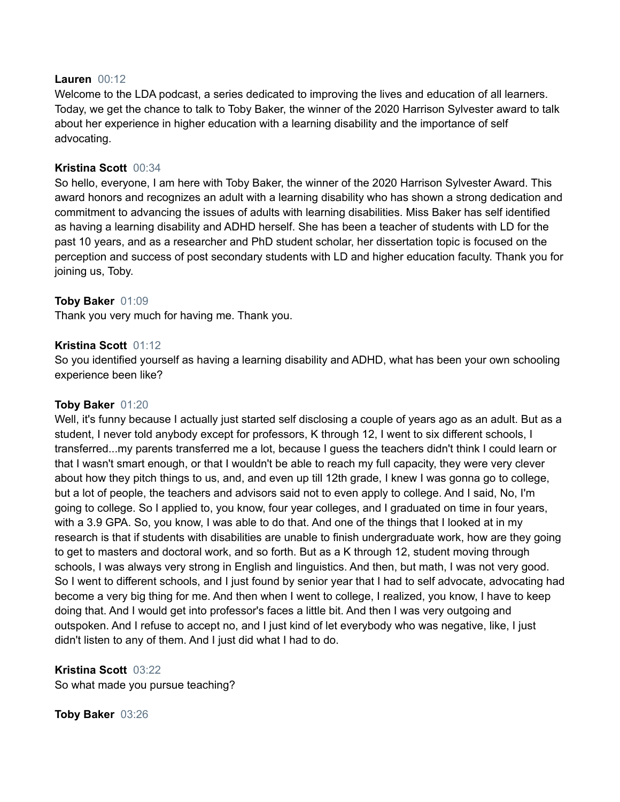### **Lauren** 00:12

Welcome to the LDA podcast, a series dedicated to improving the lives and education of all learners. Today, we get the chance to talk to Toby Baker, the winner of the 2020 Harrison Sylvester award to talk about her experience in higher education with a learning disability and the importance of self advocating.

### **Kristina Scott** 00:34

So hello, everyone, I am here with Toby Baker, the winner of the 2020 Harrison Sylvester Award. This award honors and recognizes an adult with a learning disability who has shown a strong dedication and commitment to advancing the issues of adults with learning disabilities. Miss Baker has self identified as having a learning disability and ADHD herself. She has been a teacher of students with LD for the past 10 years, and as a researcher and PhD student scholar, her dissertation topic is focused on the perception and success of post secondary students with LD and higher education faculty. Thank you for joining us, Toby.

## **Toby Baker** 01:09

Thank you very much for having me. Thank you.

### **Kristina Scott** 01:12

So you identified yourself as having a learning disability and ADHD, what has been your own schooling experience been like?

### **Toby Baker** 01:20

Well, it's funny because I actually just started self disclosing a couple of years ago as an adult. But as a student, I never told anybody except for professors, K through 12, I went to six different schools, I transferred...my parents transferred me a lot, because I guess the teachers didn't think I could learn or that I wasn't smart enough, or that I wouldn't be able to reach my full capacity, they were very clever about how they pitch things to us, and, and even up till 12th grade, I knew I was gonna go to college, but a lot of people, the teachers and advisors said not to even apply to college. And I said, No, I'm going to college. So I applied to, you know, four year colleges, and I graduated on time in four years, with a 3.9 GPA. So, you know, I was able to do that. And one of the things that I looked at in my research is that if students with disabilities are unable to finish undergraduate work, how are they going to get to masters and doctoral work, and so forth. But as a K through 12, student moving through schools, I was always very strong in English and linguistics. And then, but math, I was not very good. So I went to different schools, and I just found by senior year that I had to self advocate, advocating had become a very big thing for me. And then when I went to college, I realized, you know, I have to keep doing that. And I would get into professor's faces a little bit. And then I was very outgoing and outspoken. And I refuse to accept no, and I just kind of let everybody who was negative, like, I just didn't listen to any of them. And I just did what I had to do.

# **Kristina Scott** 03:22

So what made you pursue teaching?

#### **Toby Baker** 03:26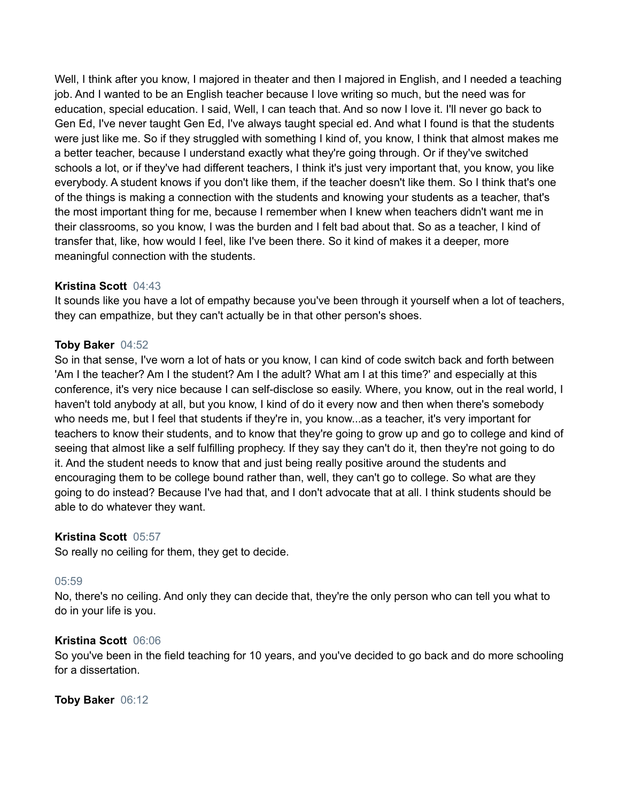Well, I think after you know, I majored in theater and then I majored in English, and I needed a teaching job. And I wanted to be an English teacher because I love writing so much, but the need was for education, special education. I said, Well, I can teach that. And so now I love it. I'll never go back to Gen Ed, I've never taught Gen Ed, I've always taught special ed. And what I found is that the students were just like me. So if they struggled with something I kind of, you know, I think that almost makes me a better teacher, because I understand exactly what they're going through. Or if they've switched schools a lot, or if they've had different teachers, I think it's just very important that, you know, you like everybody. A student knows if you don't like them, if the teacher doesn't like them. So I think that's one of the things is making a connection with the students and knowing your students as a teacher, that's the most important thing for me, because I remember when I knew when teachers didn't want me in their classrooms, so you know, I was the burden and I felt bad about that. So as a teacher, I kind of transfer that, like, how would I feel, like I've been there. So it kind of makes it a deeper, more meaningful connection with the students.

## **Kristina Scott** 04:43

It sounds like you have a lot of empathy because you've been through it yourself when a lot of teachers, they can empathize, but they can't actually be in that other person's shoes.

### **Toby Baker** 04:52

So in that sense, I've worn a lot of hats or you know, I can kind of code switch back and forth between 'Am I the teacher? Am I the student? Am I the adult? What am I at this time?' and especially at this conference, it's very nice because I can self-disclose so easily. Where, you know, out in the real world, I haven't told anybody at all, but you know, I kind of do it every now and then when there's somebody who needs me, but I feel that students if they're in, you know...as a teacher, it's very important for teachers to know their students, and to know that they're going to grow up and go to college and kind of seeing that almost like a self fulfilling prophecy. If they say they can't do it, then they're not going to do it. And the student needs to know that and just being really positive around the students and encouraging them to be college bound rather than, well, they can't go to college. So what are they going to do instead? Because I've had that, and I don't advocate that at all. I think students should be able to do whatever they want.

## **Kristina Scott** 05:57

So really no ceiling for them, they get to decide.

#### 05:59

No, there's no ceiling. And only they can decide that, they're the only person who can tell you what to do in your life is you.

#### **Kristina Scott** 06:06

So you've been in the field teaching for 10 years, and you've decided to go back and do more schooling for a dissertation.

### **Toby Baker** 06:12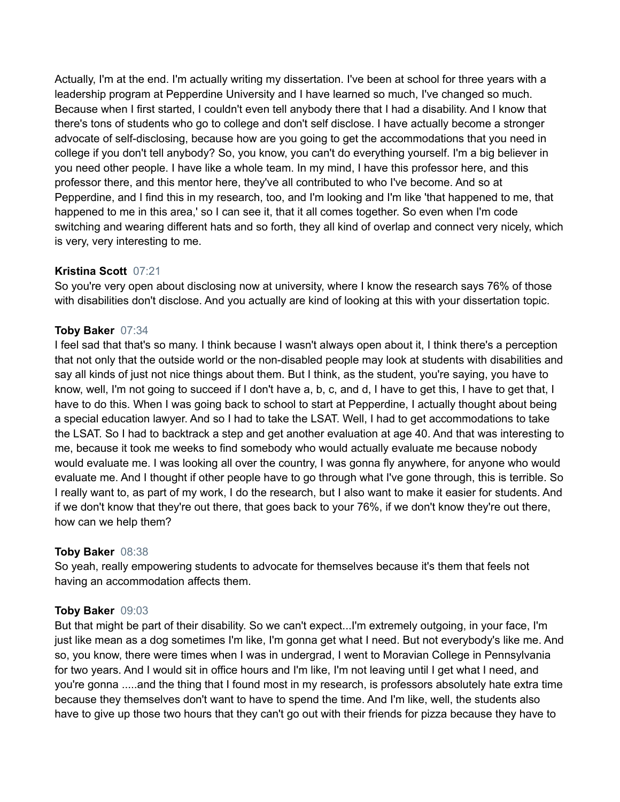Actually, I'm at the end. I'm actually writing my dissertation. I've been at school for three years with a leadership program at Pepperdine University and I have learned so much, I've changed so much. Because when I first started, I couldn't even tell anybody there that I had a disability. And I know that there's tons of students who go to college and don't self disclose. I have actually become a stronger advocate of self-disclosing, because how are you going to get the accommodations that you need in college if you don't tell anybody? So, you know, you can't do everything yourself. I'm a big believer in you need other people. I have like a whole team. In my mind, I have this professor here, and this professor there, and this mentor here, they've all contributed to who I've become. And so at Pepperdine, and I find this in my research, too, and I'm looking and I'm like 'that happened to me, that happened to me in this area,' so I can see it, that it all comes together. So even when I'm code switching and wearing different hats and so forth, they all kind of overlap and connect very nicely, which is very, very interesting to me.

# **Kristina Scott** 07:21

So you're very open about disclosing now at university, where I know the research says 76% of those with disabilities don't disclose. And you actually are kind of looking at this with your dissertation topic.

# **Toby Baker** 07:34

I feel sad that that's so many. I think because I wasn't always open about it, I think there's a perception that not only that the outside world or the non-disabled people may look at students with disabilities and say all kinds of just not nice things about them. But I think, as the student, you're saying, you have to know, well, I'm not going to succeed if I don't have a, b, c, and d, I have to get this, I have to get that, I have to do this. When I was going back to school to start at Pepperdine, I actually thought about being a special education lawyer. And so I had to take the LSAT. Well, I had to get accommodations to take the LSAT. So I had to backtrack a step and get another evaluation at age 40. And that was interesting to me, because it took me weeks to find somebody who would actually evaluate me because nobody would evaluate me. I was looking all over the country, I was gonna fly anywhere, for anyone who would evaluate me. And I thought if other people have to go through what I've gone through, this is terrible. So I really want to, as part of my work, I do the research, but I also want to make it easier for students. And if we don't know that they're out there, that goes back to your 76%, if we don't know they're out there, how can we help them?

## **Toby Baker** 08:38

So yeah, really empowering students to advocate for themselves because it's them that feels not having an accommodation affects them.

## **Toby Baker** 09:03

But that might be part of their disability. So we can't expect...I'm extremely outgoing, in your face, I'm just like mean as a dog sometimes I'm like, I'm gonna get what I need. But not everybody's like me. And so, you know, there were times when I was in undergrad, I went to Moravian College in Pennsylvania for two years. And I would sit in office hours and I'm like, I'm not leaving until I get what I need, and you're gonna .....and the thing that I found most in my research, is professors absolutely hate extra time because they themselves don't want to have to spend the time. And I'm like, well, the students also have to give up those two hours that they can't go out with their friends for pizza because they have to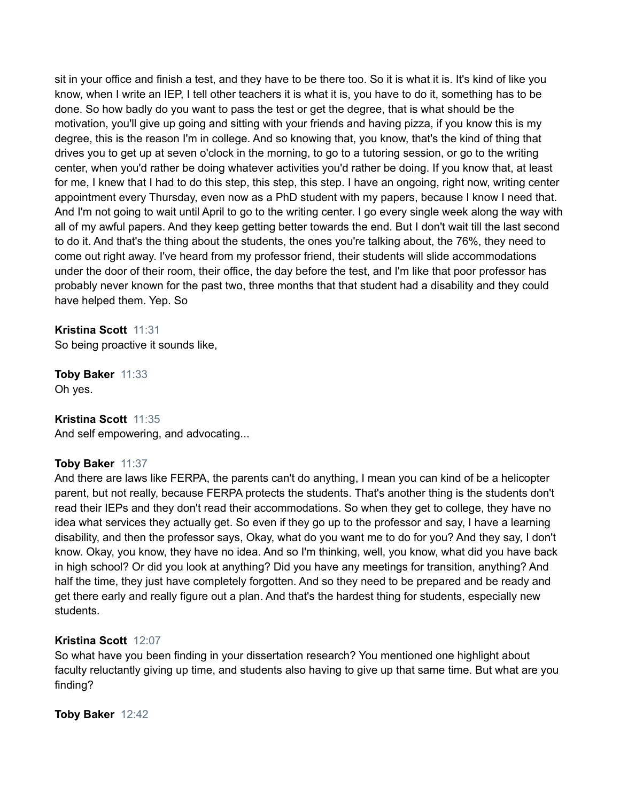sit in your office and finish a test, and they have to be there too. So it is what it is. It's kind of like you know, when I write an IEP, I tell other teachers it is what it is, you have to do it, something has to be done. So how badly do you want to pass the test or get the degree, that is what should be the motivation, you'll give up going and sitting with your friends and having pizza, if you know this is my degree, this is the reason I'm in college. And so knowing that, you know, that's the kind of thing that drives you to get up at seven o'clock in the morning, to go to a tutoring session, or go to the writing center, when you'd rather be doing whatever activities you'd rather be doing. If you know that, at least for me, I knew that I had to do this step, this step, this step. I have an ongoing, right now, writing center appointment every Thursday, even now as a PhD student with my papers, because I know I need that. And I'm not going to wait until April to go to the writing center. I go every single week along the way with all of my awful papers. And they keep getting better towards the end. But I don't wait till the last second to do it. And that's the thing about the students, the ones you're talking about, the 76%, they need to come out right away. I've heard from my professor friend, their students will slide accommodations under the door of their room, their office, the day before the test, and I'm like that poor professor has probably never known for the past two, three months that that student had a disability and they could have helped them. Yep. So

**Kristina Scott** 11:31

So being proactive it sounds like,

**Toby Baker** 11:33 Oh yes.

**Kristina Scott** 11:35

And self empowering, and advocating...

## **Toby Baker** 11:37

And there are laws like FERPA, the parents can't do anything, I mean you can kind of be a helicopter parent, but not really, because FERPA protects the students. That's another thing is the students don't read their IEPs and they don't read their accommodations. So when they get to college, they have no idea what services they actually get. So even if they go up to the professor and say, I have a learning disability, and then the professor says, Okay, what do you want me to do for you? And they say, I don't know. Okay, you know, they have no idea. And so I'm thinking, well, you know, what did you have back in high school? Or did you look at anything? Did you have any meetings for transition, anything? And half the time, they just have completely forgotten. And so they need to be prepared and be ready and get there early and really figure out a plan. And that's the hardest thing for students, especially new students.

## **Kristina Scott** 12:07

So what have you been finding in your dissertation research? You mentioned one highlight about faculty reluctantly giving up time, and students also having to give up that same time. But what are you finding?

**Toby Baker** 12:42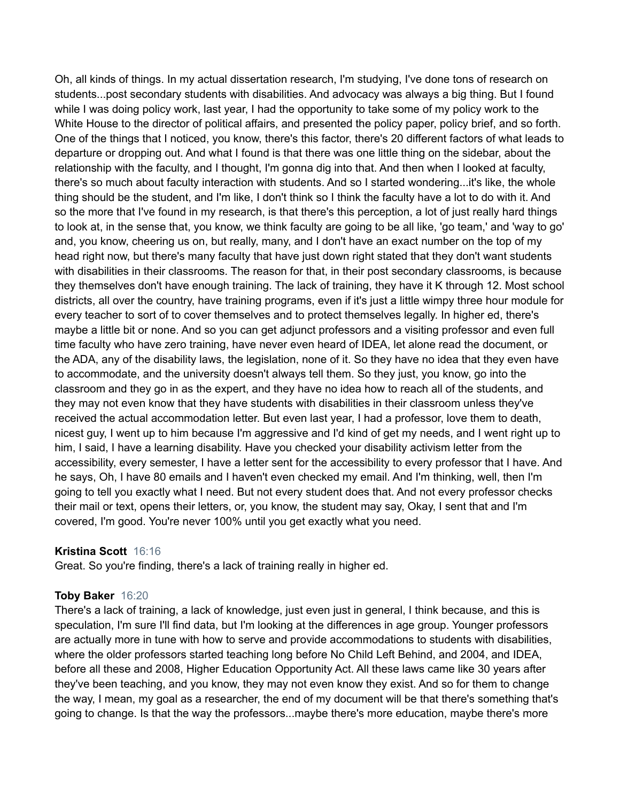Oh, all kinds of things. In my actual dissertation research, I'm studying, I've done tons of research on students...post secondary students with disabilities. And advocacy was always a big thing. But I found while I was doing policy work, last year, I had the opportunity to take some of my policy work to the White House to the director of political affairs, and presented the policy paper, policy brief, and so forth. One of the things that I noticed, you know, there's this factor, there's 20 different factors of what leads to departure or dropping out. And what I found is that there was one little thing on the sidebar, about the relationship with the faculty, and I thought, I'm gonna dig into that. And then when I looked at faculty, there's so much about faculty interaction with students. And so I started wondering...it's like, the whole thing should be the student, and I'm like, I don't think so I think the faculty have a lot to do with it. And so the more that I've found in my research, is that there's this perception, a lot of just really hard things to look at, in the sense that, you know, we think faculty are going to be all like, 'go team,' and 'way to go' and, you know, cheering us on, but really, many, and I don't have an exact number on the top of my head right now, but there's many faculty that have just down right stated that they don't want students with disabilities in their classrooms. The reason for that, in their post secondary classrooms, is because they themselves don't have enough training. The lack of training, they have it K through 12. Most school districts, all over the country, have training programs, even if it's just a little wimpy three hour module for every teacher to sort of to cover themselves and to protect themselves legally. In higher ed, there's maybe a little bit or none. And so you can get adjunct professors and a visiting professor and even full time faculty who have zero training, have never even heard of IDEA, let alone read the document, or the ADA, any of the disability laws, the legislation, none of it. So they have no idea that they even have to accommodate, and the university doesn't always tell them. So they just, you know, go into the classroom and they go in as the expert, and they have no idea how to reach all of the students, and they may not even know that they have students with disabilities in their classroom unless they've received the actual accommodation letter. But even last year, I had a professor, love them to death, nicest guy, I went up to him because I'm aggressive and I'd kind of get my needs, and I went right up to him, I said, I have a learning disability. Have you checked your disability activism letter from the accessibility, every semester, I have a letter sent for the accessibility to every professor that I have. And he says, Oh, I have 80 emails and I haven't even checked my email. And I'm thinking, well, then I'm going to tell you exactly what I need. But not every student does that. And not every professor checks their mail or text, opens their letters, or, you know, the student may say, Okay, I sent that and I'm covered, I'm good. You're never 100% until you get exactly what you need.

## **Kristina Scott** 16:16

Great. So you're finding, there's a lack of training really in higher ed.

#### **Toby Baker** 16:20

There's a lack of training, a lack of knowledge, just even just in general, I think because, and this is speculation, I'm sure I'll find data, but I'm looking at the differences in age group. Younger professors are actually more in tune with how to serve and provide accommodations to students with disabilities, where the older professors started teaching long before No Child Left Behind, and 2004, and IDEA, before all these and 2008, Higher Education Opportunity Act. All these laws came like 30 years after they've been teaching, and you know, they may not even know they exist. And so for them to change the way, I mean, my goal as a researcher, the end of my document will be that there's something that's going to change. Is that the way the professors...maybe there's more education, maybe there's more